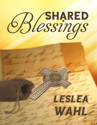

# LESLEA WAHL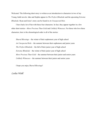Welcome! The following short story is written as an introduction to characters in two of my Young Adult novels. Jake and Sophie appear in *The Perfect Blindside* and the upcoming *Extreme Blindside*. Ryan and Josie's story can be found in *An Unexpected Role.*

I have had a lot of fun with these four characters. In fact, they appear together in a few other short stories—*More Precious Than Gold* and *Unlikely Witnesses*. For those who love these characters, here is the chronological order is all of the stories:

*Shared Blessings* – the winter of their sophomore year of high school *An Unexpected Role* – the summer between their sophomore and junior years *The Perfect Blindside* – the fall of their junior year of high school *Extreme Blindside* – the winter of their junior year of high school *More Precious Than Gold* – the summer between their junior and senior years *Unlikely Witnesses* – the summer between their junior and senior years

I hope you enjoy *Shared Blessings*!

Leslea Wahl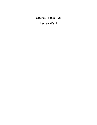Shared Blessings

Leslea Wahl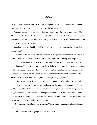# Jake

DAD GLANCES OVER HIS SHOULDER as he pulls the SUV onto the highway. "I should have had you drive, Jake. You need to get your driving hours in."

From the backseat, I glance out the window as we whiz past the vacant, snowy cornfields. "I'll take a shift after we stop for lunch." Plenty of time remains to get my hours in. I'm probably over the required amount already. These weekly drives from Kansas to the Colorado Rockies for training have made that task easy.

Mom looks over her shoulder. "I still can't believe your new coach wanted you to participate in this event."

"Me, either." The last few months have been crazy. My passion for snowboarding jumped to a whole new level. We were all surprised when the coach I'd been working with for years suggested I start training with one of the elite halfpipe coaches. Training with this new coach throughout the fall proved an amazing experience. Being with him and the top athletes he works with…a dream come true. But when he suggested I participate in this weekend's event—well, shocked is an understatement. I mean, the top of the top snowboarders will all be there. The Grand Prix is, after all, the qualifying event for the upcoming Olympics.

I shake my head at that thought. The *Olympics*. Of course, there's no chance I'll go. Only the top-three-scoring guys will make the team and represent the country while competing for the gold. But since Coach thinks I'm about ready to start riding at some of the elite competitions, he suggested attending this weekend's event to get a little more experience. I'm stoked he thinks I'm ready to start competing with the top riders and also beyond excited to meet the athletes I've grown up admiring. This will be an epic weekend.

"Did you remember to bring your homework?" Once again, Mom turns her head to look at me.

"Yep." I pat the backpack lying next to me on the seat.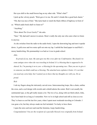Her eyes shift to the small brown bag on my other side. "What's that?"

I pick up the velvety pouch. "Rick gave it to me. He said it's kinda like a good luck charm."

"Oh, that was nice of him." She turns back to watch the black ribbon of highway in front of us. "Which audio book shall we listen to?"

"Anything."

"How about *The Great Gatsby*?" she asks.

"Sure." My dad and I answer in unison. Mom's really the only one who cares what we listen to anyway.

As she switches from the radio to the audio book, I open the drawstring bag and turn it upside down. A gold cross and two notes spill out onto my lap. I unfold the lined paper to read Rick's messy handwriting. His penmanship is as bad as it was in grade school.

*Jake,*

*So proud of you, man. My aunt gave me this cross after my Confirmation. She found it in some antique store when she was traveling in Ireland. It's a blessing that is supposed to be* shared. So, I'm passing it on to you—a blessing for the upcoming race. Then you are to give it *to someone you think could use a blessing. The attached note explains it better. It's not that you need any extra help, but I wanted you to know that my thoughts are with you. Do us proud.*

### *Rick*

I rub my fingers along the intricately carved cross. Interconnecting loops, like a chain, outline the cross, and a cool design with swords and a shield adorns the center. Rick's not usually the sentimental type, so the gift really means a lot. The two of us, along with our third cohort, John, have been buds for as long as I remember. Now we're in high school and still as close as ever. They've been so cool the last few years, when I spent most weekends traveling to Colorado. I was gone a lot, but they always made me feel included. I'm lucky to have them.

I open the note card next and read the feminine, loopy handwriting.

*Congratulations! You are the recipient of a specially blessed cross originally from Ireland.*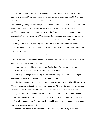This item has a unique history. I'm told that long ago, a princess gave it to a beloved friend. She *had the cross blessed before the friend left on a long journey and gave him specific instructions. When the time came, he should hand of the blessed cross to someone else who might need a special blessing as they traveled through life. This cross is meant to be a reminder that someone* cares and is praying for you. Just as you are blessed with special prayers, you in turn must pass *the blessing on to someone you would like to pray for. Someone you feel could benefit from a special blessing. Then that person will do the same. Somehow, this cross made its way back to Ireland after many years of world travel. Let us continue this beautiful tradition. May God's blessings fill you with love, friendship, and wonderful moments on your journey through life.*

What a cool idea. I rub my fingers along the intricate carvings and wonder how many places this cross has been.

\* \* \* \*

I stand at the base of the halfpipe, completely overwhelmed. The crowd is massive. None of the other competitions I've been to compare to this.

A hand clasps my shoulder and I turn to see Coach. "Jake, I'm glad you could make it."

"Hi, Coach. Thank you so much for letting me be part of this."

"You've got to start getting more experience sometime. Might as well be now. It's a great opportunity to watch the top competitors. You can learn a lot."

Before I can respond, his attention shifts, and he waves someone over. I follow his gaze to see Tommy Henderson walking toward us. *Tommy Henderson!* I've had this guy's posters hanging in my room since forever. One of the best parts of working with Coach is that he is also Tommy's coach. I've already met Max and Gus, the other two boarders who work with him, but I hadn't met Tommy. He'd been in Europe for a few months, traveling between competitions.

He strolls over and grasps Coach's hand. I stare at his signature spiky hair and goatee, stunned that I'm actually meeting my idol.

Tommy's gaze shifts to mine. "You must be the new Young Gun. Trying to unseat the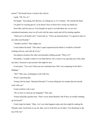master?" His breath forms a cloud in the cold air.

I gulp. "Oh. No, sir."

He laughs. "Just joking, kid. But hey, no calling me *sir*. It's Tommy." He extends his hand.

I'm glad I'm wearing gloves, so he doesn't have to know how sweaty my hands are.

Soon Max and Gus join us. Even though our sport is an individual one, we are now considered teammates since we all work with the same coach and will be training together.

"Glad you've all finally met," Coach tells us. "I have an announcement. I've agreed to take on one other snowboarder."

"Another newbie?" Max nudges me.

Coach shakes his head. "This rider is quite experienced but thinks it would be of benefit working with me, and with all of you."

Gus glances around at the other snowboarders milling around. "Who is it?"

Personally, I wouldn't mind if it was Matt Brown. He's closer to my age than any of the other top riders. Someone to pal around with might be nice.

Coach grins. "You won't find your new teammate here. She's not competing in the Men's Halfpipe."

"*She*?" Max says, exchanging a look with Gus.

Wasn't expecting that.

Tommy tilts his head. "Rachael Edwards? I've been telling her for months that she should work with you."

Coach confirms with a nod.

"Do we have to clean up our language?" Max asks.

Tommy playfully punches him. "Don't worry about Rachael. She'll have no trouble standing up for herself."

Coach claps his hands. "Okay. Let's see what happens today and who might be making the Olympic team. Good luck to you all. Jake, you're in the first set of riders. You should get to the top of the run."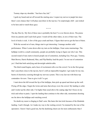Tommy slaps my shoulder. "Just have fun, kid."

I grab my board and set off toward the starting area. I expect my nerves to jangle but since there's zero chance that I will place anywhere in the top ten, I'm surprisingly chill—just stoked to be here and to watch these guys.

\* \* \* \*

The day flies by. My first of three runs is probably the best I've ever thrown down. The praise from my parents and Coach feels great. I watch all the other riders, in awe of their runs. The level of tricks is sick. A few of the guys crash and burn. I figure their nerves got the best of them.

With the second set of runs, things start to get interesting. I manage another solid performance. When I come down after my turn on the halfpipe, I hear some murmurings. The halfpipe world is a small community, people are probably trying to figure out who I am. This second round of runs starts to knock people out of contention, including Gus. Poor guy. Tommy, Matt Brown, Harris Redmond, Max, and Flip Barkley lead the pack. I'm not out of contention yet. I find that both satisfying and downright unbelievable.

The third round begins, and a buzz of excitement rolls over the crowd. I'm in the first group that's anywhere close to the top ten, but it's still an impossible longshot. I get ready for my run, bursts of electricity coursing through my nervous system. This is my last run with these top contenders–for now. Time to give it all I've got.

I start down the hill toward the lip of the halfpipe, then pick up speed and shoot up the wall. Flying off the edge, I begin the twists and turns that always wow the crowd. My landing is solid, and I rocket up the other side. I'm higher than usual above the coping edge but I focus on my trick and refuse to panic. I spot the landing then continue to the other side, momentum shooting me far above the halfpipe and watching crowd.

No doubt my mom is clinging to Dad's arm. She hates this last trick because of the blindside landing. I nail it though. As I make my way to the waiting crowd, I'm stunned by the roar of the spectators. I know I had a good run, but the deafening cheers are far more enthusiastic than I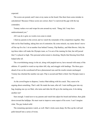expected.

The scores are posted, and I stare at my name on the board. Has there been some mistake in calculations? Because if these scores are correct, then I've narrowed the gap with the top contenders.

Tommy rushes over and wraps his arm around my neck. "Dang, kid. I may have underestimated you."

All I can do is grin; no words even come to mind.

I find my parents in the crowd, and we watch the remainder of the competition together. Max falls on his final landing, taking him out of contention. By some miracle, my name doesn't move off the top five list. I sit at number four behind Tommy, Flip Barkley, and Matt Brown. Only the top three riders will make the Olympic team, so I'm out of the running for that, but still jazzed that I've placed so high. This personal achievement is shocking. Maybe that blessing from Rick helped after all.

The overwhelming energy in the air, along with jangled nerves, have messed with many of the athletes. It's painful to watch as top riders fall, slip, and struggle with landings. The three guys ahead of me on the scoreboard all have phenomenal runs and the results remain unchanged. Tommy has clinched the number one spot. Flip is second and Matt is third. Our Olympic team is set.

As the crowd begins to disperse, I notice Matt talking with his coach. They seem to be arguing about something. That's odd. He made the team, after all. I start stuffing gear into my bag, keeping one eye on Matt, who turns and rides the lift up to the starting area. Is he taking another run?

Sure enough. I stand next to my parents and watch him adjust his board and helmet, then glide down toward the halfpipe. He must want to improve some aspect of his score. I can't imagine what. The guy looked solid.

The remaining spectators watch, as well. Matt's tricks seem sharp. He flies up the wall and pulls himself into a series of twists.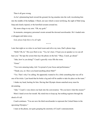Then it all goes wrong.

As he's plummeting back toward the ground, his leg smashes into the wall, ricocheting him into the middle of the halfpipe. I flinch, not sure which is more terrifying, the sight of Matt lying limp and clearly injured, or the horrified screams around me.

My mom clings to my arm. "Oh, my gosh."

In moments, emergency personnel swarm around the downed snowboarder. He's loaded onto a toboggan and taken away.

*God, please help him to be all right.*

\* \* \* \*

Later that night as we relax in our hotel room and relive my runs, Dad's phone rings.

"Hello? Oh, hi." His eyes flick to me. "Yes, he's here. I'll put you on speaker so we can all hear you." He taps the screen then lays the phone on the bed. "Okay, Coach, go ahead."

"Jake, how're you doing?" Coach's gravelly voice fills the room.

"Great."

"You were amazing today, kid. I'm proud of your focus and performance."

"Thank you, sir. Have you heard anything about Matt?"

"Yes. That's why I'm calling. He apparently wanted to fix a little something that was off in one of his tricks. I just heard that he broke a leg and will be unable to take his place on the team."

I shake my head, hurting for him. Having that Olympic dream snatched away must be devastating.

"Jake." Coach's voice draws me back into the conversation. "Do you know what this means?"

Mom's hand covers her mouth. My mind tries to keep up, but nothing registers through the shock of it all.

Coach continues. "You are now the third snowboarder to represent the United States in the upcoming Olympics."

I stare at the phone, not quite grasping the enormity of Coach's announcement.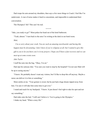Dad wraps his arm around my shoulders, then says a few more things to Coach. I feel like I'm underwater. A roar of noise makes it hard to concentrate, and impossible to understand their conversation.

The Olympics? *Me*? This can't be real.

\* \* \* \*

"Jake, you ready to go?" Mom pokes her head out of the hotel bathroom.

"Yeah, almost." I turn back to the note I'm writing at the desk in our hotel room.

*Matt,*

*I'm so sorry about your crash. You are such an amazing snowboarder and having this happen must be devastating. I don't know if you're religious at all, but I wanted to give this* gift to you to let you know you're in my prayers. I hope you'll have a fast recovery and we can *meet up at some events soon.*

*Jake Taylor*

I stuff the note into the bag. "Okay, I'm set."

Dad zips his suitcase shut. "You sure you want to stop by the hospital? I'm not sure Matt will be up to seeing anyone."

"I know. He probably doesn't want any visitors, but I'd like to drop this off anyway. Maybe a nurse can deliver it to him or something."

Mom smiles at me. "Your gesture is sweet, but he just had a huge dream ripped away from him. I'm sure it will take him some time to get over."

I stand and reach for my backpack. "I know. It just doesn't feel right to take his spot and not say something."

Dad sinks onto the bed. "I still can't believe it. You're going to the Olympics." I shake my head. "What a crazy life."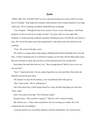# Sophie

"SOPH, ARE YOU AWARE THAT we live in the most boring town in the world? Or at least here in Colorado." Kate makes the comment while perched on the wooden bleachers in our high school gym. We're watching our pathetic basketball team scrimmage.

"Can't disagree." Through the lens of my camera, I focus on one of the players. "But thank goodness we have an activity to occupy our time." Last year, when we were eager little freshmen, we both joined the yearbook committee. Remaining active with that this year keeps us busy. We visit all the sports teams and organizations to take photos and write articles for the yearbook.

"True." She answers through a yawn.

We watch as a younger player trips during a dribbling drill and his basketball rolls across the floor. A fellow teammate tries to avoid him by leaping over his body, but the fallen player picks that exact moment to stand, and soon they are both sprawled across the wooden floor.

Kate shakes her head then looks my way. "Have enough photos? Shall we move on to our next activity?"

"Sure." I stand and stretch. I let my camera hang from my neck and follow Kate down the bleachers and out the gym doors.

The moment we step into the hallway, a trio of skateboard riders flies past us.

"Hey!" Kate scolds. "We're walking here!"

One of the skater boys, Chad, brings himself to a stop. He flips long bangs out of his face. "Sorry, dude."

Kate's fists settle on her hips. "Do I look like a dude?"

He grins at her. "That would be a negative." Then he's off to catch his friends.

She rolls her eyes. "I hate winter around here. No one can hang out outside. We're all cramped into this one building."

I nod then lead the way toward the cafeteria to find the cheerleaders. We round the next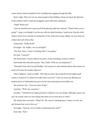corner and are almost trampled by the wrestling team jogging through the halls.

Kate's right. There are way too many people in this building. I keep moving in the direction of the cafeteria while I watch the stragglers scurry after their teammates.

"Soph! Watch out!"

I turn my head but can't stop myself from plowing right into someone. "Watch where you're going!" I snap, even though I was the one with my mind elsewhere. I push away from the solid being in front of me. Instead of coming face to face with some sweaty athlete, my eyes focus on a black shirt and white collar.

I jump back. "Father Scott!"

He laughs. "Hi, Sophie. Are you all right?"

"Oh. Sure. Sorry, I wasn't watching where I was going."

He nods. "I noticed."

My cheeks burn. I'd just yelled at my priest. Is that something I need to confess?

Kate breaks the awkward moment. "Hey, Father. What are you doing here?"

"Principal Carter and I are golf buddies. Just came by to chat with him about what courses we need to hit when the weather improves."

Then it happens. I start to ramble. "Oh! Did you know that Leadville has the highest golf course in America? It's almost two miles above sea level." I bite my lower lip. Blurting out random pieces of information has got to be the most annoying nervous habit ever.

His eyebrows rise. "I was not aware of that."

I grimace. "Well, now you know."

He grins. "I should let you ladies get back to whatever you were doing. Although, I guess you can't do exactly what you were doing since there are no more boys to watch."

My cheeks burn even more. "What? No. We weren't watching them. I mean, we were, but just because they were in the way."

He laughs. "Anyway, see you both at youth group this week?"

Kate nods. "Sure."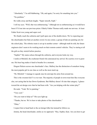"Absolutely." I'm still blabbering. "Oh, and again, I'm sorry for smashing into you." "No problem."

He walks away and Kate laughs. "Super smooth, Soph."

I roll my eyes. "Well, that was embarrassing." Although not as embarrassing as it would have been if I'd run into our previous priest. Elderly Father Thomas really made me nervous. At least Father Scott was young and super cool.

We finally reach the cafeteria and I pull open one of the double doors. We're expecting just the cheerleaders but find yet another crowd. In one corner, a group of kids are painting sets for the school play. The robotics team is set up in another corner—although truth be told, the future engineers don't seem to be working much on their remote-control vehicles. They're staring at all the girls as they stretch before practice.

"Sophie!" My name echoes through the cafeteria, and everyone looks my way.

I smile at Mitchell, the exuberant friend who announced my arrival. He scurries over to greet me. His bear hug makes it hard to breathe for a moment.

Disgust flickers across one cheerleader's face. Mallory has the distinction of somehow being the most popular girl in our class as well as the most stuck up.

"Hi, Mitchell," I manage to squeak once he unwraps his arms from around me.

This is the sweetest kid I've ever met. The majority of people in town treat him like everyone else, not caring that he has Down Syndrome. But Mallory doesn't fit into that category. I glance toward the set design crew that he had been with. "Are you helping with the winter play?"

He nods. "Yeah. We're painting."

"Very cool."

"Do you want to help us?" His eyes light up.

"Thanks, but no. We're here to take photos of the cheerleaders."

"Okay."

I expect him to head back to the set design folks but instead he follows us.

Jemma, the head cheerleader, smiles as we approach. "Hey, Sophie, Kate. Are you here to get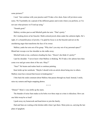some pictures?"

I nod. "Just continue with your practice and I'll take a few shots. Kate will jot down some notes. We'll probably do a spread of the different games and events where you perform, so I'm not sure what pictures we'll end up using."

"Sounds good."

Mallory swishes past us and Mitchell grabs her arm. "That's pretty."

He's looking down at her bracelet. Multi-colored jewels shine under the cafeteria lights. He's right, it's a beautiful piece of jewelry. I'm glad his focus is on the bracelet and not on the smoldering anger that transforms the face of its owner.

Mallory yanks her arm out of his grasp. "Why don't you stay out of my personal space?" Blond hair swoops over her shoulder as she stalks away.

Mitchell looks at me, confusion clouding his face. "Doesn't she think it's pretty?"

I pat his shoulder. "I never know what Mallory is thinking. We'll take a few photos here then come over and get some shots of the sets. Okay?"

"Sure!" He beams and rushes back to continue painting.

Kate holds up her notebook. "Maybe I should write an article about being nice to others. Mallory must have missed that lesson in kindergarten."

I bite back the snide comment about Mallory that passes through my head. Instead, I smile, raise my camera and begin snapping photos.

\* \* \* \*

"Dinner!" Mom's voice drifts up the stairs.

The thunder of noise Sam makes as he bolts over three steps at a time is ridiculous. How can one little twerp be so loud?

I push away my homework and head down to join the family.

Dad and Sam are waiting at the kitchen table when I get there. Mom joins us, carrying the last plate of spaghetti.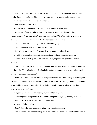Dad leads the prayer, then Sam dives into his food. I twirl my pasta onto my fork as I watch my brother slurp noodles into his mouth. He makes eating less than appetizing sometimes.

"Sam, slow down." Mom hands him a napkin.

"How was school?" Dad asks.

Sam answers with a thumbs-up as he chomps on a piece of garlic bread.

I tear my gaze from the culinary disaster. "It was fine. Boring, as always." What an understatement. "Hey, Dad, when's your next shift at Breck?" Dad's a doctor here in Silver Springs but he occasionally works at the Breckenridge ski resort clinic.

"Not for a few weeks. Want to join me the next time I go up?"

"Yeah. Nothing exciting ever happens around here."

"Oh!" Mom says. "Speaking of exciting, I've got some news about Ryan."

My athletic cousin always seems to have something cool and interesting going on.

"Celeste called. A college out east is interested in Ryan possibly playing for them this summer."

"College?" He's my age, a sophomore in high school. How can colleges be interested in him?

She nods. "They often invite high school players to play on their summer teams, but usually no one as young as your cousin."

"Wow. That's cool." I always knew he was good at sports, but I didn't really know how good he was until he made the varsity baseball team as a freshman. That accomplishment might not be a big deal here, where the coach is lucky to find enough players to even have a team, but everywhere else—it's huge.

"Maybe you can send him an encouraging note," Mom suggests.

"Something other than your usual back-handed compliment or joking remark," Dad adds.

"Hey," I say. "That's how Ryan and I show our affection."

My parents shake their heads.

"Done!" Sam yells. Like eating dinner had been some kind of race.

I stare at his face, smeared with spaghetti sauce. Honestly, how do boys turn from this kind of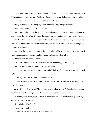mess to the cute teens girls want to date? Not that there are any cute teen boys in this town. None I'd want to go out with, anyway. I've known them all forever and find none of them appealing.

Mom excuses Sam and he plods over to the sink with his dishes in hand.

Finally. Now maybe I can enjoy my dinner without his disgusting distractions.

"Hey, I've got something for you," Dad tells me.

As I finish chewing the bite in my mouth, he reaches toward the kitchen counter and grabs a small, brown drawstring bag. I wipe my hands on a napkin then take the velvety pouch from him.

"Dr. Bennet was up at the Snowboarding Grand Prix event over the weekend," Dad explains. "One of the injured riders tried to throw this away but a nurse rescued it. Dr. Bennet thought you might find it interesting."

I reach into the bag and pull out an intricately-detailed gold cross about the size of my hand. I open the accompanying notecard and read aloud the beautiful calligraphy.

"What a wonderful idea," Mom says.

"Yeah," Dad agrees. "Guess whoever received it last didn't appreciate it, though."

I trace the intricate details on the cross. "What a shame."

"So, I guess you get to start the chain once again," Dad says. "Any idea who you might give it to?"

I shake my head. "No. I'll have to think about that."

"I love the Celtic details." Mom leans in to peer at the cross. "The design in the center looks like a family crest."

Ideas swirl through my head. "Maybe I can search the Internet and find the family it belonged to. The note said she was a princess. How cool would it be to find out more?"

I'm halfway to my room, eager to discover more about the unknown Irish family, when my cell phone rings. It's Mitchell.

"Hey, Mitchell. What's up?"

"Mallory says I stole it."

I enter my room and sit at my desk. "Stole what?"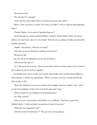"Her pretty jewels."

"Her bracelet? It's missing?"

"Yeah, and she yelled. Said I took it. In front of everyone. But I didn't."

*Mallory.* How can she be so mean? "Of course, you didn't. I'll try to find out what happened. Okay?"

"Thanks, Sophie. You're good at figuring things out."

I scroll through my contacts and find Mallory's number. Hard to believe there was a time, albeit a very short time, when we were friends. Well, *friends* is pushing it. Really just somewhat friendly classmates.

"Sophie," she answers. "What do you want?"

"Why did you accuse Mitchell of stealing your bracelet?"

"Because he did."

My eyes roll at the unpleasant sass she always delivers.

"Did you see him take it?"

"No." She draws the word out. "But you were there when he said how pretty it was. It doesn't take a genius to put two and two together."

Good thing Kate's not in on this conversation. She'd make some comment about Mallory's lack of genius. I continue my questioning. "When I was there, you were wearing the bracelet. Did you take it off?"

"Well, duh. Doing the moves in our routine with a bangle-y bracelet wouldn't work. I put it on top of my backpack, in the corner with all the other girls' bags."

"Did you check on your backpack at all during practice?"

"No. Why would I?"

I close my eyes. Conversations with Mallory are *so* difficult. "You have no proof that

Mitchell stole it. I wish you hadn't accused him in front of everyone."

"What else was I supposed to do?"

"Ask him nicely if he had seen it?" This girl wears on my patience.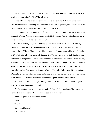"It's an expensive bracelet. If he doesn't return it to me first thing in the morning, I will head straight to the principal's office." The call ends.

Maybe I'll make a list of everyone who was in the cafeteria and start interviewing everyone. Maybe someone saw something. But that can wait until later. Right now, I want to find out more about this cross. And I still have to decide who to give it to next.

At my computer, I delve into a search for Irish family crests and soon come across a site with hundreds of them. Within a short time, they all start to look alike. Finally, just as I start to get a little discouraged, I come across a match. *Yes!*

With a surname to go on, I'm able to dig up more information. What I find is fascinating. While not royalty, this was a wealthy family near Limerick. The daughter and her male cousin were the best of friends. They did everything together and dreamed about sailing from Ireland for a life of adventure. But the young lady became sick. The boy vowed to stay in Ireland with her, but she made him promise to travel anyway and live an adventurous life for her. The day he left, she gave him the cross, which the local priest had blessed. The holy object was meant to keep her cousin safe on his journey. Once he arrived, he was to give the cross to someone he met who needed a blessing. This was a way that part of her could travel and also live a life of adventure. During the crossing, a fellow passenger on the ship tried to steal the cross in hopes of impressing a fair maiden. The true owner thwarted the theft and kept his beloved cousin's wish.

I lean back in my chair, my fingers tracing the details of the cross. Who knew reading this story would solve both of my quandaries?

I flip through the pictures on my camera until I find proof of my suspicion. Then, using the school directory, I place a call to one of the Robotics team members.

"Hello?" A gruff voice answers the phone.

"Jason?"

"Yeah."

"It's Sophie Metcalf."

"Um… okay."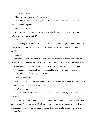"I know you took Mallory's bracelet."

"What? No way!" he insists. "I'm not a thief."

"Listen. I have proof. I was taking photos of the cheerleaders practicing and guess what I captured in the background?"

"What?" His voice cracks.

"A little contraption moving across the floor toward the backpacks. Any guesses who appears to be holding the remote control?"

"No."

"So, my theory is that you took Mallory's bracelet so you could magically 'find' it and come to her rescue. Did you assume she would be so grateful that she would give you the time of day?"

"Umm…"

*Boys*. "I couldn't care less about your stupid plan that would never work in a million years because Mallory is too self-absorbed to care. But I do care about Mitchell and can't believe you let Mallory blame him. So, here's what's going to happen. You are going to return the bracelet first thing tomorrow. I don't really care what you tell her except that you will make sure she knows that Mitchell had nothing to do with it."

"Okay," he mumbles.

"And," I continue, "you will be extra nice to Mitchell because you owe him. If you do all that, then I won't show Principal Carter my photos."

"Fine," he mutters.

I hang up. The boys in this town are so unbelievable. What I wouldn't give for a new one to move here.

With task number one completed, I turn to my other dilemma—which isn't really a problem anymore, since I know the answer. I pull out a piece of paper, ready to compose a note. Like the Irish maiden, I know cousins can be more than relatives. They can be friends. I start to write.

*Dear Ryan…*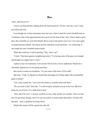Ryan

#### "HEY, MCNAULTY!"

I turn to see Rip and Ben walking down the hall toward me. *Wonder what they want?* I shut my locker and wait.

Even though we've been teammates since last year, when I made the varsity baseball team as a freshman, none of the upperclassmen have given me the time of day. Sure, when I made a great play, they acted like we were best friends. But as soon as the games were over, I was once again an underclassman nobody. Our school and the ridiculous social hierarchy—it's exhausting. It sure made last year's baseball season lonely.

When they reach me, I nod in greeting. "Hey, what's up?"

"Listen." Rip leans against a neighboring locker. "I'm having some of the guys over tonight and thought you might want to come."

I glance at my two teammates. Is he serious? He'd invite a lowly sophomore? Maybe he's reluctantly figured out I'm not going anywhere.

Ben seems to notice my hesitation. "It's just some of the team. It'll be chill."

Rip nods. "Yeah, we figured we should take advantage of a Friday night with no basketball game to attend."

"Um, yeah, sounds fun." Can't miss the chance to actually bond with them.

"Do you need a ride?" Ben asks. "I could swing by and pick you up on the way. Rip lives pretty far out of town. It's a little hard to find."

"Sure, that'd be cool." A license would be so nice. Only another two months. I have no idea how I'll get home, though, since I'm sure my curfew is much earlier than theirs. I'll deal with that later—that's a problem for future Ryan.

Maybe this season will be a good one, after all.

\* \* \* \*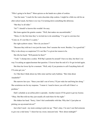"Who's going to be there?" Mom quizzes as she hands me a plate of cookies.

"Just the team." I reach for the warm chocolate chip cookies. I might be a little too old for an after-school snack, but there is no way I'm turning down something this delicious.

"But they're all older."

"So?" I should've known this wouldn't be easy.

She leans against the granite counter. "Well, that makes me uncomfortable."

"Mom, it's the first time they've invited me to do something." I've got to convince her.

"Come on. It's not like it's a party."

Her right eyebrow raises. "How do you know?"

"Because they told me it was just the team. Don't assume the worst. Besides, I'm a good kid." Why is she always so suspicious? It's not like I've given her reason to be.

She tilts her head. "Will parents be there?"

"Yeah." I chomp into a cookie. Will Rip's parents be around? I have no idea, but there's no way I'm asking an upperclassman that question. I'd never hear the end of it. Or get invited again.

She bites her lower lip for a moment. "Well, only if you promise to call if anything feels off.

I'll come get you."

*Yes!* But then I think about my little sister and her early bedtime. "But what about Annabelle?"

She narrows her eyes. "Since your dad's out of town, I'll just wake her and bring her along." She scrutinizes me for my response. "I mean it. I need to know you will call if there's a problem."

Dad's schedule as an airline pilot is sporadic. Another reason it'll be great to get my license. "Okay. But Ben told me they just usually all crash there for the night."

She shakes her head. "Sorry, I don't feel comfortable with that. Why don't I just plan on picking you up around eleven?"

Just what I need—my mom coming to pick me up. "That's okay. I'm sure I can find someone to give me a ride home." I shoot her my sweet, innocent look. "How about midnight?"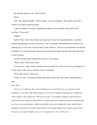She playfully glares at me. "Eleven-thirty."

"Deal."

"Oh!" She claps her hands. "I almost forgot. You got a package." She reaches across the counter for a bulky manila envelope.

I wipe my hands on my jeans, ignoring the napkin next to my plate, and reach for the envelope. "From who?"

"Sophie."

*Sophie*? That's odd. I don't think my cousin has ever sent me anything before. I carefully examine the package, not sure I can trust it. I try to remember who pulled the last prank in our ongoing war. Is it her turn to get me back? I don't think so. As far as I can remember, she had the last laugh over Christmas break when she convinced me to jump in the hot tub. Little did I know it wasn't heated.

I rip the envelope open and pull out a brown, velvet pouch.

"What's that?" Mom leans closer.

"I'm not sure." I peek inside, and then pull out a gold cross with a cool crisscross design on it. At the center of the cross is a family crest or something.

"Wow, that's pretty," Mom says.

"Yeah, it's cool." I read the notecard, then hand it off to my mom while I unfold Sophie's note.

#### *Dear Ryan,*

*I bet you're wondering why I sent something to you. And I bet you are suspicious of my intentions. I can't deny that I like having you worried I'm somehow punking you. It makes me rather happy to have that power. But you can relax. I'm actually sending you this because I* heard about your chance to play ball for a college team and I wanted to send an extra blessing your way. Our usual display of affection includes one of us pranking the other, but this time I *thought I'd actually let you know that someone in Colorado thinks you're pretty special. Don't let it go to your head, though, or try to use it against me—or you'll be sorry.*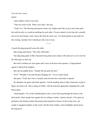#### *Your favorite cousin,*

#### *Sophie*

I pass Sophie's note to my mom.

"That was sweet of her. What a nice idea," she says.

"Yeah, it is." Her blessing and prayers mean a lot. Sophie and I like to give each other grief, but truth be told, we would do anything for each other. I'd never admit it to her but she's actually one of my best friends. I grin. Guess she feels the same way. As I head upstairs to get ready for the evening, I ponder who I should give the cross to next.

\* \* \* \*

I smash the ping pong ball across the table.

Ben swings and misses. "Nice shot, McNaulty."

Our ping pong game in Rip's basement has gotten more intense with each serve as we wait for the other guys to show up.

Ben and I continue our close game until voices waft down from upstairs. A high-pitched squeal is followed by laughter.

Ben sets his paddle down. "Sounds like the girls are here."

*Girls*? "Thought it was just the guys hanging out." I try to sound casual.

Ben grins. "Yeah, that's how it usually starts but then the word tends to spread."

He abandons our game and heads upstairs. I'm left standing alone in Rip's basement, trying to figure out what to do. This evening of chillin' with the team has apparently expanded into a fullblown party.

I head upstairs. Two of the football players carry a silver beer keg through the house to the back porch, where people lean against the icy railing to smoke. I glance around. A few girls are perched on the kitchen island, discussing whose playlist to choose. In the living room, one couple is snuggled together on the couch. Out the front window, more headlights stream down the long drive.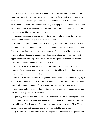Watching all the commotion makes my stomach twist. I'd always wondered what the cool upperclassmen parties were like. They always sounded epic. But seeing it in person makes me uncomfortable. Things could quickly get out of hand and I want no part of it. This scene is a sharp contrast to how I usually spend my Friday nights, hanging out with the kids from my youth group, playing games, watching movies or, if it's nice outside, playing flashlight tag. The kids in this house would think that was completely lame.

I glance around one more time and know without a shadow of a doubt that this is not my crowd. Could I ever find a way to fit in? Would I *want* to?

But now comes a new dilemma. Do I risk making my teammates mad and make my exit or stay and pretend for one night to be one of them? That might be the easiest solution. But just as I'm trying to convince myself that is the smartest option, I notice some of the lacrosse guys eyeing me. I don't think my teammates would do anything to harm me but there are a lot of upperclassmen here who might find it fun to haze the one sophomore in the crowd. The more they drink, the more appealing that idea might become.

Nope. It's best to leave now before anything bad can happen. But how? I can't call my mom to get me. I'd be ridiculed forever. Besides, I don't know the address. Even if I did, she might never let me go out again if she saw this.

January in Minnesota eliminates walking home. I'd freeze to death. I remember passing a gas station at the turnoff to Rip's road. If I can make it that far, I'll have a location and cross streets when I call someone to get me—a friend or a rideshare car or, as a last resort, my mom.

Music blares and a group of girls begin to dance. One of them spins in a circle, beer sloshing out of her cup. Yep. Time to get out of here.

I grab my jacket and then stop. Is it best to sneak out or fess up? No one would probably miss me. But what if they did? It might make things worse in the future if some of the team decides to make a big deal of me disappearing from a party and want to teach me a lesson. Ugh. Why is this school so horrible? People can be so cruel if you're not part of the cool group.

My dad's words of wisdom come to me. He always says it's best to just tell people how you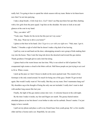really feel. I'm going to have to spend the whole season with my team. Better to let them know now that I'm not into partying.

I take a deep breath. *A little help here, God?* I don't see Rip anywhere but spot Ben chatting with a few girls from the pom squad. I tap him on the shoulder. He turns to look at me and glances at the coat in my hand.

"Hey, you takin' off?"

"Yeah, man. Thanks for the invite but this just isn't my scene."

"Oh, okay. Want me to drive you home?"

I glance at the beer in his hand. *Like I'd get in a car with you right now*. "Nah, man. I got it. Thanks." I breathe a sigh of relief that he doesn't make a big deal of me leaving.

I pull my coat on and head out the door, sidestepping around a new group of kids making their way into the house. Then I start the long trek down the deserted road toward the gas station. Thank goodness I brought gloves and a knit hat along.

I glance back at the warm house one last time. Why is our school so full of partiers? My exasperated sigh creates a cloud in the bitter cold air. Half those people are just trying to act cool to fit in. What a waste.

I pick up the pace so I don't freeze to death on the snow-packed road. The crunch of my footsteps is the only sound around. So much for being one of the guys. Doubt I'll get invited again. But would I really want to? Not really. But they are my team. Don't teammates hang out? My shoulders sag at the thought of being the only one not included. I really don't want to deal with another long season like last year.

Finally, the light of the gas station comes into view. A welcome beacon in the cold night.

By the time I make it inside, my feet and fingers are numb. The greasy-haired station attendant glances at me but doesn't even bother to take out his earbuds. Doesn't matter. I'm just happy to have warmth.

I pull out my phone and place a call to my friend Isaac from youth group. He's a few months older and has a license and a car. Hopefully, he can come.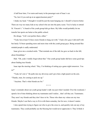A half hour later, I'm warm and toasty in the passenger seat of Isaac's car.

"So, how'd you end up at an upperclassmen party?"

I shake my head. "I thought it would be just the team hanging out. I should've known better. There are way too many kids at my school who are into the party scene. You're lucky to attend St. Vincent's." A bunch of the youth group kids go there. My folks would probably let me transfer but sports are better at the public school.

He shrugs. "Life's not perfect there, either."

"Yeah, but at least I'd have more friends to hang out with." I had a few guys I did stuff with but lately I'd been spending more and more time with the youth group guys. Being around likeminded people is sadly underrated.

Isaac gives me a crooked smile. "That reminds me of the talk Joe gave us back in the fall, about friendships."

Huh. "Oh, yeah. I totally forgot about that." Our youth group leader did have some good tips about finding true friends.

Isaac taps the steering wheel. "Hey, I'm thinking of setting up a game night tomorrow. You in?"

"Yeah, let's do it." He pulls into my driveway and I give him a light punch on the arm. "Thanks, man, for coming to pick me up."

"Anytime. That's what friends are for."

\* \* \* \*

Isaac's reminder about our youth group leader's talk was just what I needed. Over the weekend, I spend a lot of time thinking about my teammates and I realize…that's all they are. Teammates. They aren't my friends and they don't have to be. Those who share my values are my true friends. Maybe I can find a way to fit in with them someday, but for now, it doesn't matter.

I also spend time trying to figure out who to give the cross to, and quickly rule out any of my teammates. They could probably use the blessing but would never appreciate it. They'd think it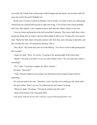was weird. My friends from youth group would all appreciate the prayers, but are they really the ones who need it the most? Probably not.

By the time I'm back at school on Monday, I have an idea. I'm lucky to have my youth group, which keeps me centered and focused on right and wrong. A lot of kids in this school probably don't have that support. I can't imagine trying to deal with this cliquey culture on my own.

I shut my locker and head down the hall toward the Commons. They keep a table there where people put things they no longer want but others might be able to use. I'll place the velvet pouch there. Maybe the Holy Spirit will guide someone who feels they need a blessing to that table, and they can take the cross. An anonymous blessing. I like it.

"Hey, Ryan." My friend Josh joins me in the hallway. "You free to work on that group project this evening?"

I shake my head. "Sorry. No can do. I'm going to the opening night of the school play."

"Really?" He looks at me like I've lost my mind. Maybe I have. "Do you need extra credit or something?"

"No." I grin. "I'm going to support my fellow students."

He stares. "Seriously?"

"Yeah. Someone talked me into going to the fall musical and I actually found it kind of interesting."

He cocks his head to the side. "Somehow, I don't feel like you're telling me the whole truth."

My grin widens. There's no way I'm telling him the real reason I'm going.

"Whatever, dude." He shrugs. "I'll look for another time this week."

I drop off the pouch at the community table.

*God, please help the person who could use a special blessing find this cross.*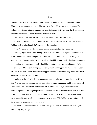# Josie

BIG FAT SNOWFLAKES DRIFT PAST the window and land silently on the fluffy white blanket that covers the grass—something that won't be visible for a few more months. The delicate snow jewels spin and dance as they gracefully make their way from the sky, reminding me of the Waltz of the Snowflakes in the Nutcracker ballet.

"Ms. DelRio." The stern voice of my English teacher brings me back to reality.

My gaze shifts to Mrs. Turner. While her voice has the scolding teacher tone, she seems to be holding back a smile. I think she's used to my daydreaming.

"Sorry." I glance around the classroom and am mortified at all the eyes on me.

*Come on, stay focused.* The last thing I want is to draw attention to myself—which tends to be a difficult task for me to accomplish. For some reason, I've always had trouble being like everyone else. As much as I try to act like all the other kids, my propensity for clumsiness makes it impossible to be normal. At a high school like mine, this trait is not a good thing. At Lake Forest High, not being part of the popular crowd, or at least an upperclassman, opens a student to all sorts of ridicule. Neither popular nor an upperclassman, I've been walking on the proverbial eggshells for the past year and a half.

"As I was saying…" Mrs. Turner continues without drawing further attention to me. Bless her! "For our next assignment, you will be working in pairs." A murmur builds in the previously quiet room. Mrs. Turner holds up her hand. "Pairs which I will assign." She ignores the collective groan. "You and your partner will compare and contrast literary works that have been made into movies. You will both read the book and watch the movie. In a few weeks, you will present the differences and similarities to the class together." She holds up a piece of paper. "I have provided guidelines for you to follow."

She hands the stack of papers to a student sitting in the front row to hand out, then begins announcing the pairings.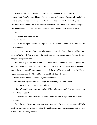*Please say Josie and Liz*. *Please say Josie and Liz.* I don't know why I bother with my internal chant. There's no possible way she would let us work together. Teachers always feel the need to split up friends. But it would be so fun to read a book and watch a movie together. Maybe we could convince her to let us choose *Les Miserables*. I'd love to see that movie again. We could even do a third segment and include the Broadway musical! It would be fantastic!

"Josie…"

I squeeze my eyes shut. *And Liz.*

"…and Ashlyn."

*Noooo.* Please, anyone but her. Ms. Captain of the JV volleyball team is the last person I want to spend time with.

I slump in my seat. It's exhausting to always worry about what I say and do to avoid ridicule from the "in" crowd. Ashlyn is one of the worst, always trying to make a name for herself with the popular upperclassmen.

I glance her way and am greeted with a dramatic eye roll. I feel like returning the gesture but can't risk having her mad at me. I need to stay under the radar for a few more months, until the end of the school year. If I can just make it through the rest of the winter and spring, I will be an upperclassman and my troubles will be over. Or at least, they will lessen.

After class is dismissed, I wait as Liz gathers her books.

She shoots me a sympathetic look. "Tough break getting paired with Ashlyn."

"Yeah. But with my luck, not really surprising."

"Mine isn't much better. Have you ever heard Marshall speak a word? How am I going to get him to discuss a book?"

I follow her out the door. "Why couldn't Mrs. Turner let us work together? It would be so much fun."

"That's the point. Don't you know we're never supposed to have fun doing schoolwork?" She shifts her backpack to her other shoulder. "Hey, did you remember we're assigned to sit and sell tickets to the play during lunch?"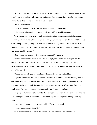"Argh. Can't we just pretend that we tried? No one is going to buy tickets to the show. Trying to sell them at lunchtime is always a waste of time and so embarrassing. I hate how the popular crowd stares at us like we're complete theater nerds."

"We *are* theater nerds."

I shove her shoulder. "No, we are not. We are highly-trained thespians."

"I don't think being musical theater enthusiasts qualifies us as highly-trained."

When we reach the cafeteria, we sidle up to the table that is our impromptu ticket counter.

"Oh, good, you're here. Since tonight is opening night, it would be great if we could fill those seats," perky Katie sing-songs. She thrusts a metal box into my hands. "The tickets are in here, along with forty dollars in change." She narrows her eyes. "All the money better be there when you return it to Mr. Abrams."

"Don't worry, not a penny will be missing. Or added," I mumble.

Katie sweeps out of the cafeteria with her head high, like a princess wearing a tiara. As annoying as she is, I sometimes wish I could be more like her and own my inner theater geekiness—not care what anyone else thinks. I just can't get past my desire to someday be part of the "in" crowd.

"You set up, and I'll grab us some lunch." Liz shuffles toward the food line.

I sigh and settle in for the hour of torture. The chances of someone actually wanting a ticket to our winter play is almost non-existent. The only students who ever show up are those whose teachers promise extra credit for attending. It's a shame too, because *The Curious Savage* is a really great play, but no one other than our family members will ever know.

I plop my backpack on the table, and a stack of flyers sails across the linoleum tiles. Fabulous. I'm contemplating how to pick them all up without anyone noticing when a body blocks my view.

I glance up at my new project partner, Ashlyn. This can't be good.

I venture a cautious greeting. "Hi."

She glances over her shoulder at the scattered papers. "You're a walking menace."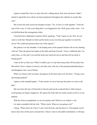I glance around like I have no idea what she's talking about. How does she know I didn't intend to spread the news about our latest production throughout the cafeteria in exactly that way?

She crosses her arms across her designer sweater. "So, we have to work together." From the tone of her voice, it's the worst thing that's ever happened to her. Well, guess what, sister—I'm not thrilled about this arrangement either.

I nod and form a diplomatic response before speaking. "Yeah, I guess we do. How do you want to work this? Should we both read the book on our own then get together to watch the movie? We could each present about one of the aspects."

She glances over her shoulder. Is she hoping none of her popular friends will see her chatting with me? Then she places her hands on the table and leans forward. "I have a different idea. I'm really busy, so why don't you read the book and watch the movie and then tell me about it. Sound good?"

I stare at her icy blue eyes. What I wouldn't give to wipe that smug smirk off her pretty face. But before I have a chance to answer, she links arms with one of the passing basketball players and disappears into a sea of bodies.

When Liz returns with our lunch, she glances at the flyers that cover the floor. "Trying a new advertising method?"

I glance at the trampled papers. "Yeah, maybe we can at least get the janitor to come to the play."

She sets down the tray of food and we bravely pick up the scattered flyers while trying to avoid getting our fingers stepped on. We ignore the looks that are clearly meant to tell us we are pathetic.

With the chore accomplished, we eat our lunches and I fill her in on Ashlyn's visit.

Liz stabs a meatball with her fork. "What a leech. What are you going to do?"

I shrug. "What choice do I have? I can't rock the boat, and she knows it. The popular crowd knows they have all the power around here. Unless I want to risk public humiliation, I will keep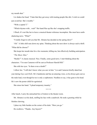my mouth shut."

Liz shakes her head. "I hate that they get away with treating people like dirt. I wish we could just avoid her. She's trouble."

"With a capital T."

"Which rhymes with…wait!" Her hand flies up like she's stopping traffic.

I flinch. It's not like her to leave a musical theater reference incomplete. She must have earthshattering news. "What?"

"I totally forgot to tell you that Mr. Abrams has decided on the spring show!"

"*Oh*." A little chill runs down my spine. Thinking about the next show is always such a thrill. "What did he choose?"

She keeps her mouth shut for a few moments, killing me, but effectively building anticipation. "*The Music Man*."

"Really?" A classic musical. Nice. Finally, some good news. I start thinking about the

characters. "I'm sure Cameron will be cast as Professor Harold Hill."

She rolls her eyes. "Is there even a doubt?"

I elbow her. "I still don't know what you saw in him." Liz and Cameron briefly dated last year during *Guys and Dolls*. He's handsome and has an amazing voice, so he always gets cast as the male lead, even though he too is only a sophomore. Needless to say, it has gone to his head. He's now the poster child for egotistical.

She raises her hand. "I plead temporary insanity."

\* \* \* \*

After lunch, I carry the untouched box of tickets to the theater room.

Mr. Abrams is at his desk, stuffing his face with a sandwich. He nods a greeting while he finishes chewing.

I place my little burden on the corner of his desk. "Here you go."

He swallows. "Thanks. Any buyers?"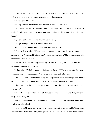I shake my head. "No. Not today." I don't know why he keeps insisting that we even try. All it does is point out to everyone that we are the lowly theater geeks.

"Oh, well, one of these days."

Not likely. "I heard a rumor that the next show will be *The Music Man*."

"Yes. I figured you and Liz would be happy since you two love musicals as much as I do." He smiles. "Auditions will have to be pretty soon, though, since we'll have to work around spring break."

"I guess I'd better start thinking about an audition song."

"Let's get through this week of performances first."

I hear him but my mind is already searching for the perfect song.

He leans back in his chair. "We may need to recruit some kids from the nearby elementary schools to be in Professor Hill's band. Don't you have a little brother? Maybe he and some of his friends could be in the show."

Riley? In a show with me? No possible way. "Theater isn't really his thing. Besides, he's pretty busy with baseball in the spring."

His face twists. "Well, I'm sure we'll find a school that would like to participate. Hey, how's your mom's new book coming along? My nieces really enjoyed her last one."

"New book?" How should I know? Everyone always thinks it's so interesting that my mom's an author. I try not to burst their bubble but it's really not as glamorous as it sounds.

"When I saw her at the holiday showcase, she told me that she has a new book coming out this spring."

"Oh. Maybe. Honestly, when it comes to her books, I kind of zone out. She always has some story she's working on."

He grins. "I would think you'd take more of an interest. From what Liz has said, those books made you a mini celebrity."

I roll my eyes. My mom likes to include my clumsy incidents in her books. My "Josie-isms," as we call them. When I was little, finding myself in her books was kind of cute. My classmates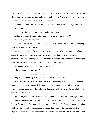loved to scour them to find the sections about me. As I've gotten older, those parts have lost their charm. Luckily, her books are for middle school students. I won't need to worry about any of my high school classmates reading my mother's new novel.

"It sounded like this new story will be a little different than her usual middle-grade books," Mr. Abrams says.

"I doubt that. She has the whole middle-grade angst down pat."

He glances at the clock on the wall. "Aren't you going to be late for class?"

"I'm counting on it. I have gym next."

"I wouldn't want to stand in the way of your physical education." He pulls out a pad of tardy slips and scribbles my name on one.

I really don't understand the point of gym class. I get plenty of exercise dancing in all our shows. I'd like to see those P.E. teachers try the tap routine that we learned for the fall production. It took months of practice and was much more physically demanding than the stupid games we play in gym. Seriously, what skills does dodge ball teach?

Mr. Abrams hands me a piece of paper. "Here you go."

I reluctantly take it. "Gee, thanks."

"See you in a few hours for opening night."

I drag my feet on my way to the gym. My mind shifts to the new show.

*The Music Man*. That show has some great parts. I'll need the perfect song for my audition. I hum a possibility as I walk through the empty gym. Yes, that one might work well. Would I make more of an impression if I added a little choreography? I twirl across the basketball court toward the locker rooms.

The tune playing in my head reaches the song's climax. I end the dance with a high kick and throw my arms out in a final dramatic gesture. *Oops!* My shoe sails through the air. That's when I notice I'm not alone. Pure horror fills me as my adorable ballet flat floats like a graceful leaf to the floor, where it lands in front of three of the cutest members of the baseball team. The expressions range from Scotty's look of fear, to Chase's pure contempt, and Ryan's amused grin.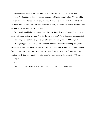If only I could exit stage left right about now. Totally humiliated, I retrieve my shoe.

"Sorry." I shoot them a little smile then scurry away. My stomach clenches. Why can't I just act normal? Why is that such a challenge for me? How will I ever fit in with the cool kids when I do dumb stuff like this? *Come on Josie, just hang in there for a few more months. Then you'll be an upperclassman and things will be better.*

Gym class is humiliating, as always. I'm picked last for the basketball game. Then I trip over my own feet and land on my face. Will this day never be over? I'm so frustrated and exhausted. At least tonight will be fun. Being on stage is the only time lately that I feel like myself.

Leaving the gym, I plod through the Commons and move past the Community table, where people share items they no longer want. At a glance, I spot the usual books and other such items. But a brown, velvety bag catches my eye, and I veer closer to take a look. A note is attached to the bag. I pick it up and read: *If you're in need of an extra blessing, the contents of this bag may be for you.*

Hmm…

I reach for the bag. An extra blessing sounds pretty fantastic right about now.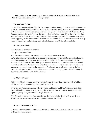I hope you enjoyed this short story. If you are interested in more adventures with these characters, please check out the following stories:

# *The Perfect Blindside*

Fresh off a championship medal, Jake Taylor's parents have dragged him to a middle-of-nowhere town in Colorado, far from where he wants to be. Smart and savvy, Sophie has spent the summer before her junior year of high school avidly following Jake Taylor in every article she can find, but now she sees the "truth" behind the story — he's really just a jerk. When the only thing they can see is each other's flaws, how can Jake and Sophie work together to figure out what's really been happening at the abandoned silver mine? Follow Sophie and Jake into secret tunnels as they unravel the mystery and challenge each other to become who God wants them to be.

# *An Unexpected Role*

The devastation of a ruined summer.

The gift of a second chance.

Can Josie learn the lessons she needs in order to discover her true self?

After a humiliating event and overwhelming peer pressure, 16-year-old Josie flees her home to spend the summer with her Aunt on a South Carolina island. Her fresh start turns into the summer of her dreams as friendships grow, romance blossoms, and a series of thefts surround her with excitement. However, when tragedy strikes someone close to her, Josie realizes there are more important things than her reputation. As she sets out to solve the mystery she has become entangled in, she not only realizes the importance of relying on her faith but along the way also discovers who God wants her to be.

# *Unlikely Witnesses*

When four friends vacation together in the Colorado Rockies, they expect a week of hiking, biking, and rafting – not being interrogated by the FBI.

Between Josie's mishaps, Jake's celebrity status, and Sophie and Ryan's friendly feud, their peaceful family vacation turns into a comedic adventure. But, when these four teens stumble upon a mystery, things become downright dangerous.

The fun and intrigue of this short story is paired with a reminder that if we live our lives as Christians, we never know when we might be a witness for Christ.

# *Secrets: Visible and Invisible*

An old tale of murder and forbidden love leads to a modern-day treasure hunt for four teens helping at a summer camp.